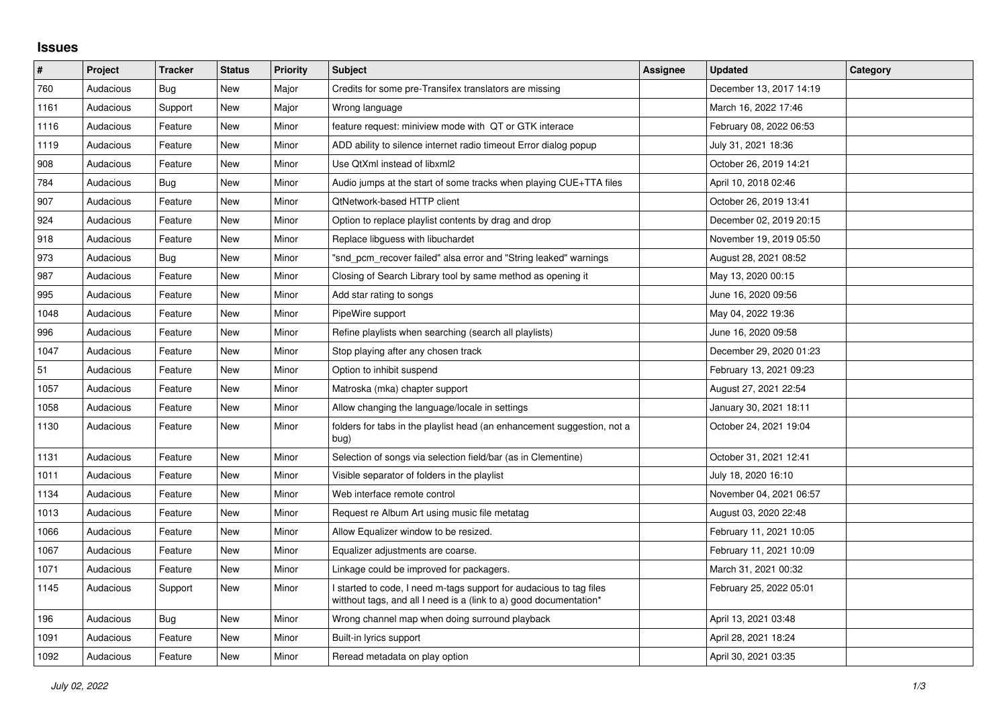## **Issues**

| #    | Project   | <b>Tracker</b> | <b>Status</b> | <b>Priority</b> | <b>Subject</b>                                                                                                                            | Assignee | <b>Updated</b>          | Category |
|------|-----------|----------------|---------------|-----------------|-------------------------------------------------------------------------------------------------------------------------------------------|----------|-------------------------|----------|
| 760  | Audacious | Bug            | <b>New</b>    | Major           | Credits for some pre-Transifex translators are missing                                                                                    |          | December 13, 2017 14:19 |          |
| 1161 | Audacious | Support        | <b>New</b>    | Major           | Wrong language                                                                                                                            |          | March 16, 2022 17:46    |          |
| 1116 | Audacious | Feature        | New           | Minor           | feature request: miniview mode with QT or GTK interace                                                                                    |          | February 08, 2022 06:53 |          |
| 1119 | Audacious | Feature        | New           | Minor           | ADD ability to silence internet radio timeout Error dialog popup                                                                          |          | July 31, 2021 18:36     |          |
| 908  | Audacious | Feature        | New           | Minor           | Use QtXml instead of libxml2                                                                                                              |          | October 26, 2019 14:21  |          |
| 784  | Audacious | Bug            | New           | Minor           | Audio jumps at the start of some tracks when playing CUE+TTA files                                                                        |          | April 10, 2018 02:46    |          |
| 907  | Audacious | Feature        | New           | Minor           | <b>QtNetwork-based HTTP client</b>                                                                                                        |          | October 26, 2019 13:41  |          |
| 924  | Audacious | Feature        | New           | Minor           | Option to replace playlist contents by drag and drop                                                                                      |          | December 02, 2019 20:15 |          |
| 918  | Audacious | Feature        | New           | Minor           | Replace libguess with libuchardet                                                                                                         |          | November 19, 2019 05:50 |          |
| 973  | Audacious | <b>Bug</b>     | <b>New</b>    | Minor           | "snd pcm recover failed" alsa error and "String leaked" warnings                                                                          |          | August 28, 2021 08:52   |          |
| 987  | Audacious | Feature        | New           | Minor           | Closing of Search Library tool by same method as opening it                                                                               |          | May 13, 2020 00:15      |          |
| 995  | Audacious | Feature        | New           | Minor           | Add star rating to songs                                                                                                                  |          | June 16, 2020 09:56     |          |
| 1048 | Audacious | Feature        | <b>New</b>    | Minor           | PipeWire support                                                                                                                          |          | May 04, 2022 19:36      |          |
| 996  | Audacious | Feature        | <b>New</b>    | Minor           | Refine playlists when searching (search all playlists)                                                                                    |          | June 16, 2020 09:58     |          |
| 1047 | Audacious | Feature        | New           | Minor           | Stop playing after any chosen track                                                                                                       |          | December 29, 2020 01:23 |          |
| 51   | Audacious | Feature        | <b>New</b>    | Minor           | Option to inhibit suspend                                                                                                                 |          | February 13, 2021 09:23 |          |
| 1057 | Audacious | Feature        | New           | Minor           | Matroska (mka) chapter support                                                                                                            |          | August 27, 2021 22:54   |          |
| 1058 | Audacious | Feature        | New           | Minor           | Allow changing the language/locale in settings                                                                                            |          | January 30, 2021 18:11  |          |
| 1130 | Audacious | Feature        | New           | Minor           | folders for tabs in the playlist head (an enhancement suggestion, not a<br>bug)                                                           |          | October 24, 2021 19:04  |          |
| 1131 | Audacious | Feature        | New           | Minor           | Selection of songs via selection field/bar (as in Clementine)                                                                             |          | October 31, 2021 12:41  |          |
| 1011 | Audacious | Feature        | New           | Minor           | Visible separator of folders in the playlist                                                                                              |          | July 18, 2020 16:10     |          |
| 1134 | Audacious | Feature        | New           | Minor           | Web interface remote control                                                                                                              |          | November 04, 2021 06:57 |          |
| 1013 | Audacious | Feature        | New           | Minor           | Request re Album Art using music file metatag                                                                                             |          | August 03, 2020 22:48   |          |
| 1066 | Audacious | Feature        | New           | Minor           | Allow Equalizer window to be resized.                                                                                                     |          | February 11, 2021 10:05 |          |
| 1067 | Audacious | Feature        | New           | Minor           | Equalizer adjustments are coarse.                                                                                                         |          | February 11, 2021 10:09 |          |
| 1071 | Audacious | Feature        | New           | Minor           | Linkage could be improved for packagers.                                                                                                  |          | March 31, 2021 00:32    |          |
| 1145 | Audacious | Support        | New           | Minor           | I started to code, I need m-tags support for audacious to tag files<br>witthout tags, and all I need is a (link to a) good documentation* |          | February 25, 2022 05:01 |          |
| 196  | Audacious | Bug            | New           | Minor           | Wrong channel map when doing surround playback                                                                                            |          | April 13, 2021 03:48    |          |
| 1091 | Audacious | Feature        | New           | Minor           | Built-in lyrics support                                                                                                                   |          | April 28, 2021 18:24    |          |
| 1092 | Audacious | Feature        | New           | Minor           | Reread metadata on play option                                                                                                            |          | April 30, 2021 03:35    |          |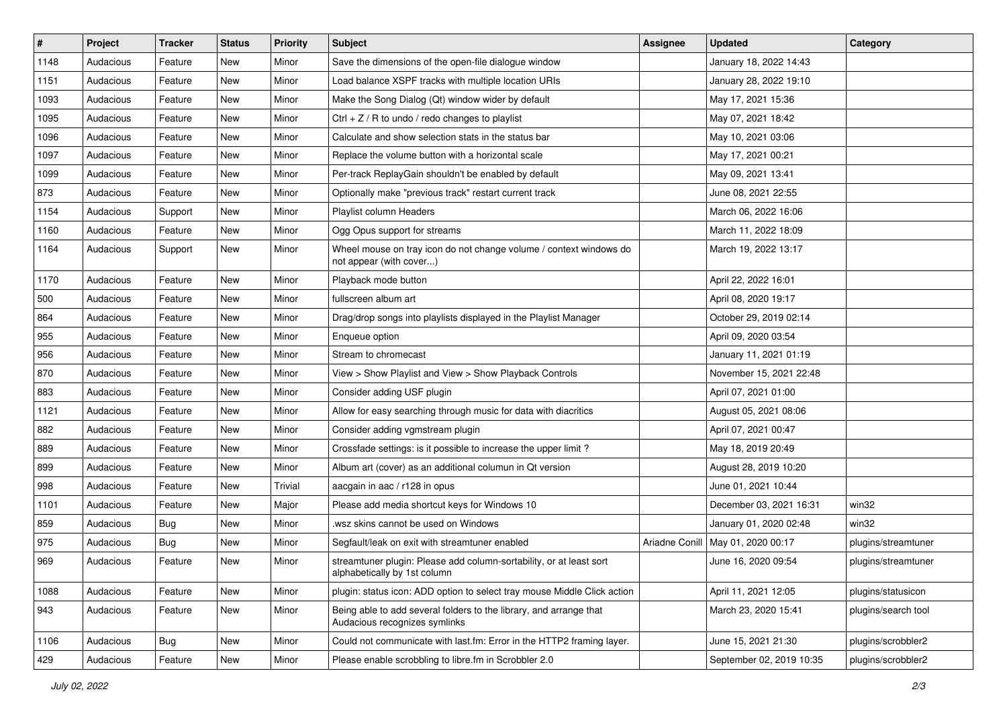| $\vert$ # | Project   | <b>Tracker</b> | <b>Status</b> | <b>Priority</b> | <b>Subject</b>                                                                                      | <b>Assignee</b> | <b>Updated</b>           | Category            |
|-----------|-----------|----------------|---------------|-----------------|-----------------------------------------------------------------------------------------------------|-----------------|--------------------------|---------------------|
| 1148      | Audacious | Feature        | New           | Minor           | Save the dimensions of the open-file dialogue window                                                |                 | January 18, 2022 14:43   |                     |
| 1151      | Audacious | Feature        | New           | Minor           | Load balance XSPF tracks with multiple location URIs                                                |                 | January 28, 2022 19:10   |                     |
| 1093      | Audacious | Feature        | New           | Minor           | Make the Song Dialog (Qt) window wider by default                                                   |                 | May 17, 2021 15:36       |                     |
| 1095      | Audacious | Feature        | New           | Minor           | Ctrl + $Z$ / R to undo / redo changes to playlist                                                   |                 | May 07, 2021 18:42       |                     |
| 1096      | Audacious | Feature        | New           | Minor           | Calculate and show selection stats in the status bar                                                |                 | May 10, 2021 03:06       |                     |
| 1097      | Audacious | Feature        | New           | Minor           | Replace the volume button with a horizontal scale                                                   |                 | May 17, 2021 00:21       |                     |
| 1099      | Audacious | Feature        | New           | Minor           | Per-track ReplayGain shouldn't be enabled by default                                                |                 | May 09, 2021 13:41       |                     |
| 873       | Audacious | Feature        | New           | Minor           | Optionally make "previous track" restart current track                                              |                 | June 08, 2021 22:55      |                     |
| 1154      | Audacious | Support        | New           | Minor           | Playlist column Headers                                                                             |                 | March 06, 2022 16:06     |                     |
| 1160      | Audacious | Feature        | New           | Minor           | Ogg Opus support for streams                                                                        |                 | March 11, 2022 18:09     |                     |
| 1164      | Audacious | Support        | New           | Minor           | Wheel mouse on tray icon do not change volume / context windows do<br>not appear (with cover)       |                 | March 19, 2022 13:17     |                     |
| 1170      | Audacious | Feature        | New           | Minor           | Playback mode button                                                                                |                 | April 22, 2022 16:01     |                     |
| 500       | Audacious | Feature        | New           | Minor           | fullscreen album art                                                                                |                 | April 08, 2020 19:17     |                     |
| 864       | Audacious | Feature        | New           | Minor           | Drag/drop songs into playlists displayed in the Playlist Manager                                    |                 | October 29, 2019 02:14   |                     |
| 955       | Audacious | Feature        | New           | Minor           | Enqueue option                                                                                      |                 | April 09, 2020 03:54     |                     |
| 956       | Audacious | Feature        | New           | Minor           | Stream to chromecast                                                                                |                 | January 11, 2021 01:19   |                     |
| 870       | Audacious | Feature        | New           | Minor           | View > Show Playlist and View > Show Playback Controls                                              |                 | November 15, 2021 22:48  |                     |
| 883       | Audacious | Feature        | New           | Minor           | Consider adding USF plugin                                                                          |                 | April 07, 2021 01:00     |                     |
| 1121      | Audacious | Feature        | New           | Minor           | Allow for easy searching through music for data with diacritics                                     |                 | August 05, 2021 08:06    |                     |
| 882       | Audacious | Feature        | New           | Minor           | Consider adding vgmstream plugin                                                                    |                 | April 07, 2021 00:47     |                     |
| 889       | Audacious | Feature        | New           | Minor           | Crossfade settings: is it possible to increase the upper limit?                                     |                 | May 18, 2019 20:49       |                     |
| 899       | Audacious | Feature        | New           | Minor           | Album art (cover) as an additional columun in Qt version                                            |                 | August 28, 2019 10:20    |                     |
| 998       | Audacious | Feature        | New           | Trivial         | aacgain in aac / r128 in opus                                                                       |                 | June 01, 2021 10:44      |                     |
| 1101      | Audacious | Feature        | New           | Major           | Please add media shortcut keys for Windows 10                                                       |                 | December 03, 2021 16:31  | win32               |
| 859       | Audacious | <b>Bug</b>     | New           | Minor           | wsz skins cannot be used on Windows                                                                 |                 | January 01, 2020 02:48   | win32               |
| 975       | Audacious | <b>Bug</b>     | New           | Minor           | Segfault/leak on exit with streamtuner enabled                                                      | Ariadne Conill  | May 01, 2020 00:17       | plugins/streamtuner |
| 969       | Audacious | Feature        | New           | Minor           | streamtuner plugin: Please add column-sortability, or at least sort<br>alphabetically by 1st column |                 | June 16, 2020 09:54      | plugins/streamtuner |
| 1088      | Audacious | Feature        | New           | Minor           | plugin: status icon: ADD option to select tray mouse Middle Click action                            |                 | April 11, 2021 12:05     | plugins/statusicon  |
| 943       | Audacious | Feature        | New           | Minor           | Being able to add several folders to the library, and arrange that<br>Audacious recognizes symlinks |                 | March 23, 2020 15:41     | plugins/search tool |
| 1106      | Audacious | <b>Bug</b>     | New           | Minor           | Could not communicate with last.fm: Error in the HTTP2 framing layer.                               |                 | June 15, 2021 21:30      | plugins/scrobbler2  |
| 429       | Audacious | Feature        | New           | Minor           | Please enable scrobbling to libre.fm in Scrobbler 2.0                                               |                 | September 02, 2019 10:35 | plugins/scrobbler2  |